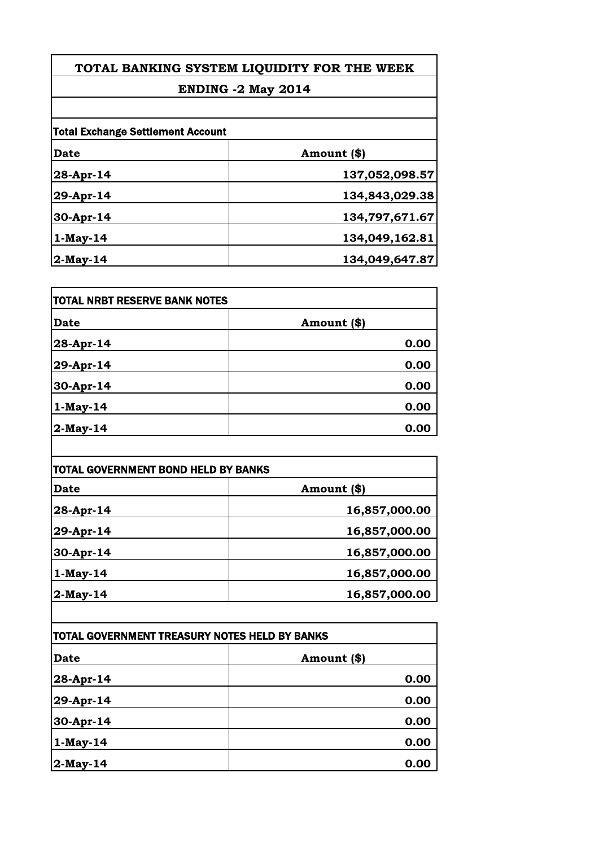### **ENDING -2 May 2014**

| <b>Total Exchange Settlement Account</b> |                |
|------------------------------------------|----------------|
| Date                                     | Amount (\$)    |
| 28-Apr-14                                | 137,052,098.57 |
| 29-Apr-14                                | 134,843,029.38 |
| $30-Apr-14$                              | 134,797,671.67 |
| $1-May-14$                               | 134,049,162.81 |
| $2-May-14$                               | 134,049,647.87 |

| <b>TOTAL NRBT RESERVE BANK NOTES</b> |             |
|--------------------------------------|-------------|
| <b>Date</b>                          | Amount (\$) |
| 28-Apr-14                            | 0.00        |
| 29-Apr-14                            | 0.00        |
| 30-Apr-14                            | 0.00        |
| $1-May-14$                           | 0.00        |
| $2$ -May-14                          | 0.00        |

| <b>TOTAL GOVERNMENT BOND HELD BY BANKS</b> |               |
|--------------------------------------------|---------------|
| Date                                       | Amount (\$)   |
| 28-Apr-14                                  | 16,857,000.00 |
| 29-Apr-14                                  | 16,857,000.00 |
| 30-Apr-14                                  | 16,857,000.00 |
| $1-May-14$                                 | 16,857,000.00 |
| $2$ -May-14                                | 16,857,000.00 |

| TOTAL GOVERNMENT TREASURY NOTES HELD BY BANKS |             |
|-----------------------------------------------|-------------|
| <b>Date</b>                                   | Amount (\$) |
| 28-Apr-14                                     | 0.00        |
| 29-Apr-14                                     | 0.00        |
| 30-Apr-14                                     | 0.00        |
| $1-May-14$                                    | 0.00        |
| $ 2-May-14 $                                  | 0.00        |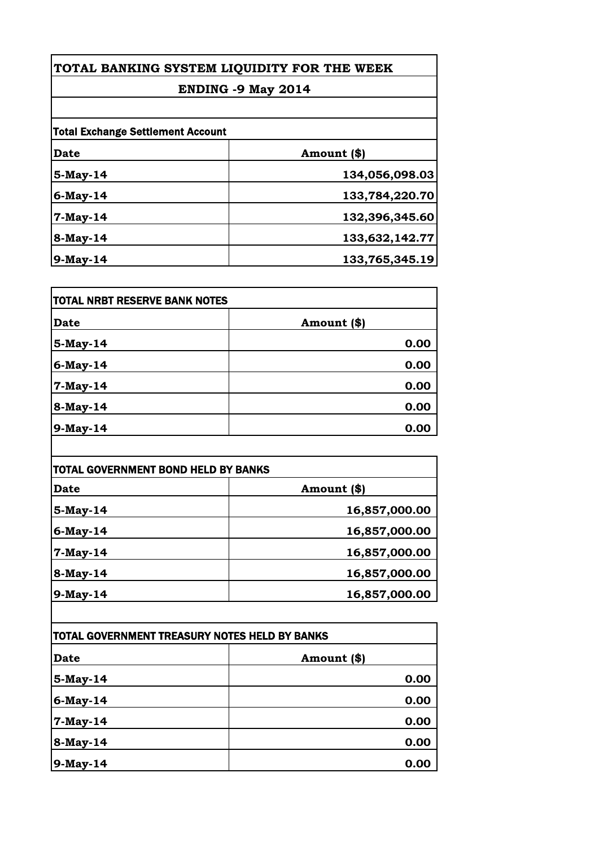### **ENDING -9 May 2014**

| <b>Total Exchange Settlement Account</b> |                |
|------------------------------------------|----------------|
| <b>Date</b>                              | Amount (\$)    |
| 5-May-14                                 | 134,056,098.03 |
| 6-May-14                                 | 133,784,220.70 |
| $7-May-14$                               | 132,396,345.60 |
| 8-May-14                                 | 133,632,142.77 |
| 9-May-14                                 | 133,765,345.19 |

| <b> TOTAL NRBT RESERVE BANK NOTES</b> |             |
|---------------------------------------|-------------|
| <b>Date</b>                           | Amount (\$) |
| 5-May-14                              | 0.00        |
| 6-May-14                              | 0.00        |
| 7-May-14                              | 0.00        |
| 8-May-14                              | 0.00        |
| 9-May-14                              | 0.00        |

| <b>TOTAL GOVERNMENT BOND HELD BY BANKS</b> |               |
|--------------------------------------------|---------------|
| <b>Date</b>                                | Amount (\$)   |
| 5-May-14                                   | 16,857,000.00 |
| 6-May-14                                   | 16,857,000.00 |
| 7-May-14                                   | 16,857,000.00 |
| 8-May-14                                   | 16,857,000.00 |
| 9-May-14                                   | 16,857,000.00 |

| TOTAL GOVERNMENT TREASURY NOTES HELD BY BANKS |             |
|-----------------------------------------------|-------------|
| <b>Date</b>                                   | Amount (\$) |
| 5-May-14                                      | 0.00        |
| $6$ -May-14                                   | 0.00        |
| 7-May-14                                      | 0.00        |
| 8-May-14                                      | 0.00        |
| $9$ -May-14                                   | 0.00        |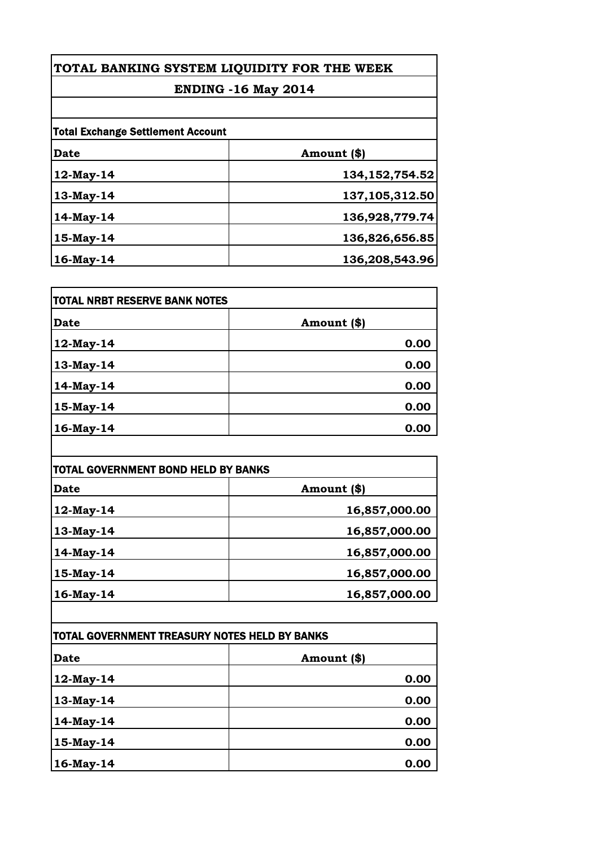### **ENDING -16 May 2014**

| <b>Total Exchange Settlement Account</b> |                   |
|------------------------------------------|-------------------|
| <b>Date</b>                              | Amount (\$)       |
| 12-May-14                                | 134, 152, 754. 52 |
| 13-May-14                                | 137,105,312.50    |
| 14-May-14                                | 136,928,779.74    |
| 15-May-14                                | 136,826,656.85    |
| 16-May-14                                | 136,208,543.96    |

| <b>TOTAL NRBT RESERVE BANK NOTES</b> |             |
|--------------------------------------|-------------|
| <b>Date</b>                          | Amount (\$) |
| 12-May-14                            | 0.00        |
| 13-May-14                            | 0.00        |
| 14-May-14                            | 0.00        |
| $15$ -May-14                         | 0.00        |
| 16-May-14                            | 0.00        |

| TOTAL GOVERNMENT BOND HELD BY BANKS |               |
|-------------------------------------|---------------|
| Date                                | Amount (\$)   |
| 12-May-14                           | 16,857,000.00 |
| 13-May-14                           | 16,857,000.00 |
| 14-May-14                           | 16,857,000.00 |
| 15-May-14                           | 16,857,000.00 |
| 16-May-14                           | 16,857,000.00 |

| TOTAL GOVERNMENT TREASURY NOTES HELD BY BANKS |             |
|-----------------------------------------------|-------------|
| <b>Date</b>                                   | Amount (\$) |
| 12-May-14                                     | 0.00        |
| 13-May-14                                     | 0.00        |
| $14$ -May-14                                  | 0.00        |
| 15-May-14                                     | 0.00        |
| 16-May-14                                     | 0.00        |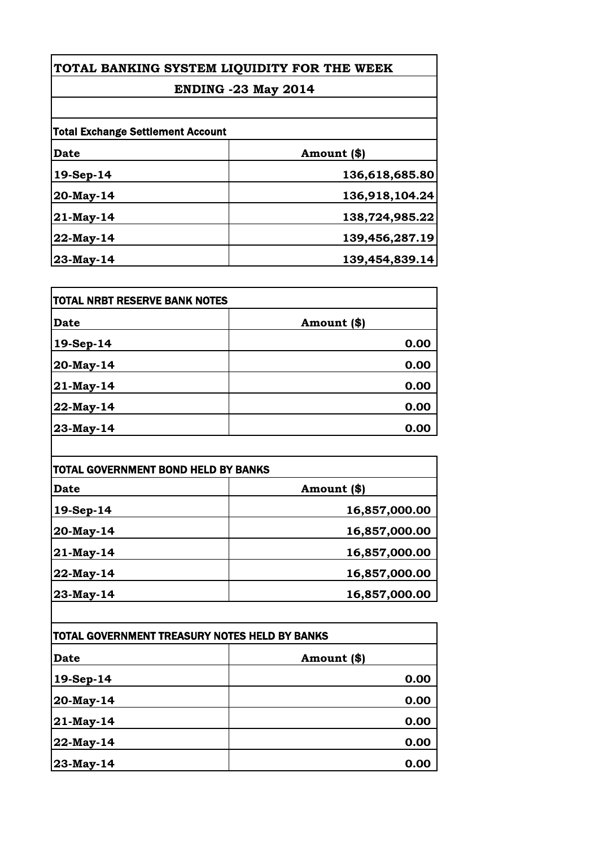### **ENDING -23 May 2014**

| <b>Total Exchange Settlement Account</b> |                |
|------------------------------------------|----------------|
| <b>Date</b>                              | Amount (\$)    |
| 19-Sep-14                                | 136,618,685.80 |
| 20-May-14                                | 136,918,104.24 |
| 21-May-14                                | 138,724,985.22 |
| 22-May-14                                | 139,456,287.19 |
| 23-May-14                                | 139,454,839.14 |

| <b>TOTAL NRBT RESERVE BANK NOTES</b> |             |
|--------------------------------------|-------------|
| <b>Date</b>                          | Amount (\$) |
| 19-Sep-14                            | 0.00        |
| 20-May-14                            | 0.00        |
| 21-May-14                            | 0.00        |
| 22-May-14                            | 0.00        |
| 23-May-14                            | 0.00        |

| <b>TOTAL GOVERNMENT BOND HELD BY BANKS</b> |               |
|--------------------------------------------|---------------|
| <b>Date</b>                                | Amount (\$)   |
| 19-Sep-14                                  | 16,857,000.00 |
| 20-May-14                                  | 16,857,000.00 |
| 21-May-14                                  | 16,857,000.00 |
| 22-May-14                                  | 16,857,000.00 |
| 23-May-14                                  | 16,857,000.00 |

| TOTAL GOVERNMENT TREASURY NOTES HELD BY BANKS |             |
|-----------------------------------------------|-------------|
| <b>Date</b>                                   | Amount (\$) |
| $19-Sep-14$                                   | 0.00        |
| 20-May-14                                     | 0.00        |
| 21-May-14                                     | 0.00        |
| 22-May-14                                     | 0.00        |
| 23-May-14                                     | 0.00        |